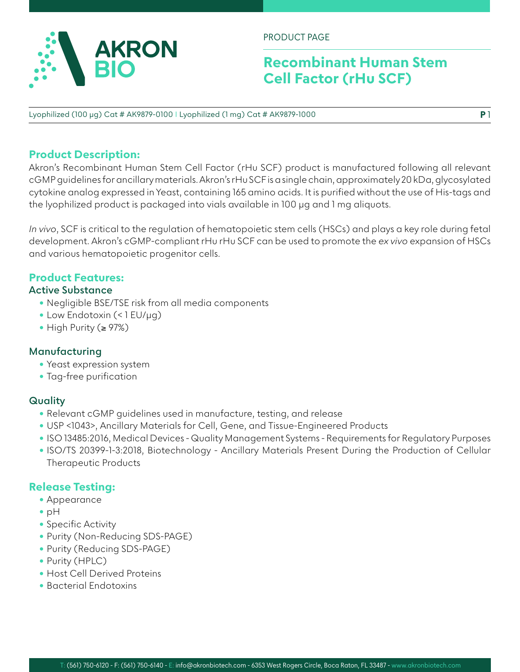

PRODUCT PAGE

## **Recombinant Human Stem Cell Factor (rHu SCF)**

**P** 1

Lyophilized (100 µg) Cat # AK9879-0100 I Lyophilized (1 mg) Cat # AK9879-1000

## **Product Description:**

Akron's Recombinant Human Stem Cell Factor (rHu SCF) product is manufactured following all relevant cGMP guidelines for ancillary materials. Akron's rHu SCF is a single chain, approximately 20 kDa, glycosylated cytokine analog expressed in Yeast, containing 165 amino acids. It is purified without the use of His-tags and the lyophilized product is packaged into vials available in 100 µg and 1 mg aliquots.

*In vivo*, SCF is critical to the regulation of hematopoietic stem cells (HSCs) and plays a key role during fetal development. Akron's cGMP-compliant rHu rHu SCF can be used to promote the *ex vivo* expansion of HSCs and various hematopoietic progenitor cells.

## **Product Features:**

#### **Active Substance**

- Negligible BSE/TSE risk from all media components
- Low Endotoxin (< 1 EU/µg)
- High Purity (≥ 97%)

#### **Manufacturing**

- Yeast expression system
- Tag-free purification

## **Quality**

- Relevant cGMP guidelines used in manufacture, testing, and release
- USP <1043>, Ancillary Materials for Cell, Gene, and Tissue-Engineered Products
- ISO 13485:2016, Medical Devices Quality Management Systems Requirements for Regulatory Purposes
- ISO/TS 20399-1-3:2018, Biotechnology Ancillary Materials Present During the Production of Cellular Therapeutic Products

## **Release Testing:**

- Appearance
- pH
- Specific Activity
- Purity (Non-Reducing SDS-PAGE)
- Purity (Reducing SDS-PAGE)
- Purity (HPLC)
- Host Cell Derived Proteins
- Bacterial Endotoxins